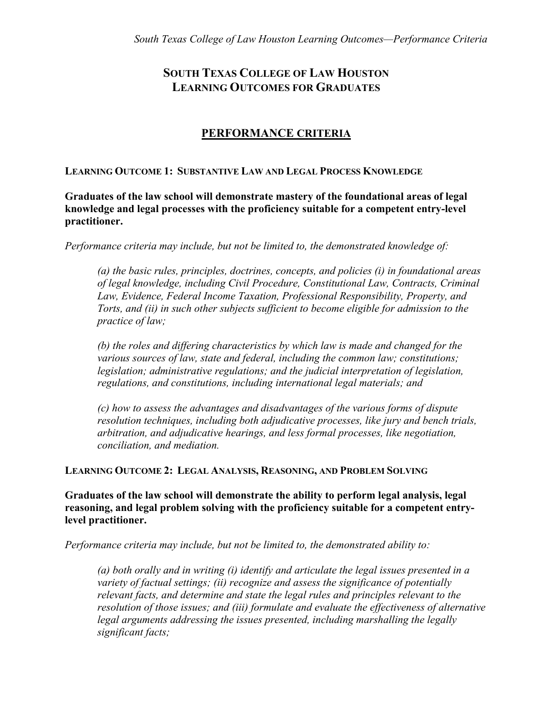# **SOUTH TEXAS COLLEGE OF LAW HOUSTON LEARNING OUTCOMES FOR GRADUATES**

## **PERFORMANCE CRITERIA**

**LEARNING OUTCOME 1: SUBSTANTIVE LAW AND LEGAL PROCESS KNOWLEDGE**

**Graduates of the law school will demonstrate mastery of the foundational areas of legal knowledge and legal processes with the proficiency suitable for a competent entry-level practitioner.**

*Performance criteria may include, but not be limited to, the demonstrated knowledge of:*

*(a) the basic rules, principles, doctrines, concepts, and policies (i) in foundational areas of legal knowledge, including Civil Procedure, Constitutional Law, Contracts, Criminal Law, Evidence, Federal Income Taxation, Professional Responsibility, Property, and Torts, and (ii) in such other subjects sufficient to become eligible for admission to the practice of law;*

*(b) the roles and differing characteristics by which law is made and changed for the various sources of law, state and federal, including the common law; constitutions; legislation; administrative regulations; and the judicial interpretation of legislation, regulations, and constitutions, including international legal materials; and*

*(c) how to assess the advantages and disadvantages of the various forms of dispute resolution techniques, including both adjudicative processes, like jury and bench trials, arbitration, and adjudicative hearings, and less formal processes, like negotiation, conciliation, and mediation.*

**LEARNING OUTCOME 2: LEGAL ANALYSIS, REASONING, AND PROBLEM SOLVING**

**Graduates of the law school will demonstrate the ability to perform legal analysis, legal reasoning, and legal problem solving with the proficiency suitable for a competent entrylevel practitioner.**

*Performance criteria may include, but not be limited to, the demonstrated ability to:*

*(a) both orally and in writing (i) identify and articulate the legal issues presented in a variety of factual settings; (ii) recognize and assess the significance of potentially relevant facts, and determine and state the legal rules and principles relevant to the resolution of those issues; and (iii) formulate and evaluate the effectiveness of alternative legal arguments addressing the issues presented, including marshalling the legally significant facts;*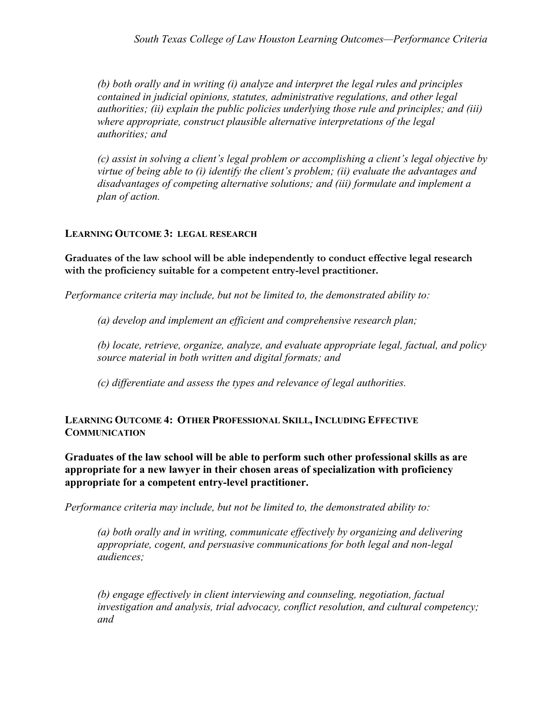*(b) both orally and in writing (i) analyze and interpret the legal rules and principles contained in judicial opinions, statutes, administrative regulations, and other legal authorities; (ii) explain the public policies underlying those rule and principles; and (iii) where appropriate, construct plausible alternative interpretations of the legal authorities; and*

*(c) assist in solving a client's legal problem or accomplishing a client's legal objective by virtue of being able to (i) identify the client's problem; (ii) evaluate the advantages and disadvantages of competing alternative solutions; and (iii) formulate and implement a plan of action.*

## **LEARNING OUTCOME 3: LEGAL RESEARCH**

**Graduates of the law school will be able independently to conduct effective legal research with the proficiency suitable for a competent entry-level practitioner.**

*Performance criteria may include, but not be limited to, the demonstrated ability to:*

*(a) develop and implement an efficient and comprehensive research plan;*

*(b) locate, retrieve, organize, analyze, and evaluate appropriate legal, factual, and policy source material in both written and digital formats; and* 

*(c) differentiate and assess the types and relevance of legal authorities.*

**LEARNING OUTCOME 4: OTHER PROFESSIONAL SKILL, INCLUDING EFFECTIVE COMMUNICATION**

**Graduates of the law school will be able to perform such other professional skills as are appropriate for a new lawyer in their chosen areas of specialization with proficiency appropriate for a competent entry-level practitioner.**

*Performance criteria may include, but not be limited to, the demonstrated ability to:*

*(a) both orally and in writing, communicate effectively by organizing and delivering appropriate, cogent, and persuasive communications for both legal and non-legal audiences;*

*(b) engage effectively in client interviewing and counseling, negotiation, factual investigation and analysis, trial advocacy, conflict resolution, and cultural competency; and*